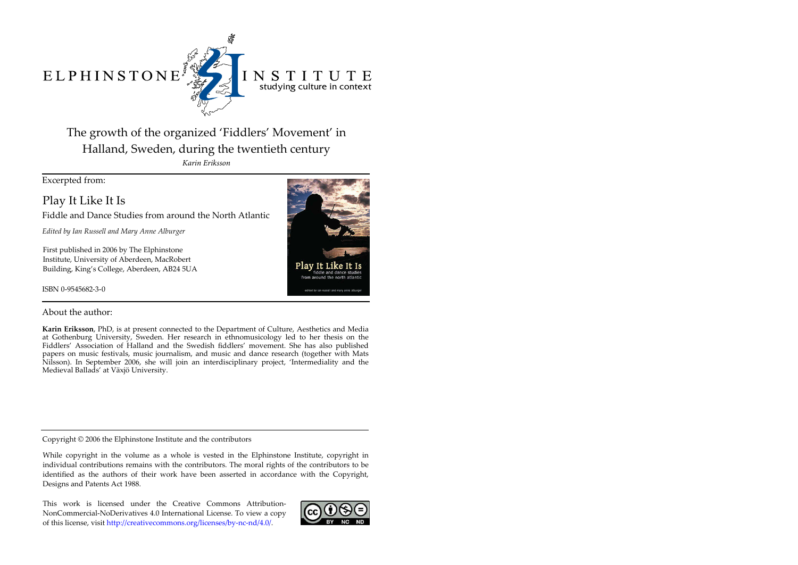ELPHINSTONE



# INSTITUTE studying culture in context

# The growth of the organized 'Fiddlers' Movement' in Halland, Sweden, during the twentieth century

*Karin Eriksson*

Excerpted from:

Play It Like It Is

Fiddle and Dance Studies from around the North Atlantic

*Edited by Ian Russell and Mary Anne Alburger*

First published in 2006 by The Elphinstone Institute, University of Aberdeen, MacRobert Building, King's College, Aberdeen, AB24 5UA

ISBN 0-9545682-3-0



## About the author:

**Karin Eriksson**, PhD, is at present connected to the Department of Culture, Aesthetics and Media at Gothenburg University, Sweden. Her research in ethnomusicology led to her thesis on the Fiddlers' Association of Halland and the Swedish fiddlers' movement. She has also published papers on music festivals, music journalism, and music and dance research (together with Mats Nilsson). In September 2006, she will join an interdisciplinary project, 'Intermediality and the Medieval Ballads' at Växjö University.

Copyright © 2006 the Elphinstone Institute and the contributors

While copyright in the volume as a whole is vested in the Elphinstone Institute, copyright in individual contributions remains with the contributors. The moral rights of the contributors to be identified as the authors of their work have been asserted in accordance with the Copyright, Designs and Patents Act 1988.

This work is licensed under the Creative Commons Attribution-NonCommercial-NoDerivatives 4.0 International License. To view a copy of this license, visit http://creativecommons.org/licenses/by-nc-nd/4.0/.

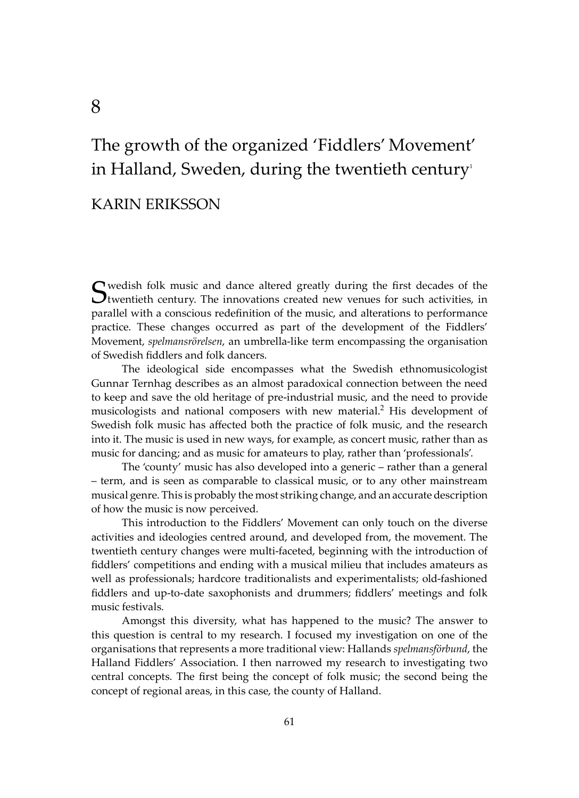# The growth of the organized 'Fiddlers' Movement' in Halland, Sweden, during the twentieth century

## KARIN ERIKSSON

Swedish folk music and dance altered greatly during the first decades of the twentieth century. The innovations created new venues for such activities, in parallel with a conscious redefinition of the music, and alterations to performance practice. These changes occurred as part of the development of the Fiddlers' Movement, *spelmansrörelsen*, an umbrella-like term encompassing the organisation of Swedish fiddlers and folk dancers.

The ideological side encompasses what the Swedish ethnomusicologist Gunnar Ternhag describes as an almost paradoxical connection between the need to keep and save the old heritage of pre-industrial music, and the need to provide musicologists and national composers with new material.<sup>2</sup> His development of Swedish folk music has affected both the practice of folk music, and the research into it. The music is used in new ways, for example, as concert music, rather than as music for dancing; and as music for amateurs to play, rather than 'professionals'.

The 'county' music has also developed into a generic – rather than a general – term, and is seen as comparable to classical music, or to any other mainstream musical genre. This is probably the most striking change, and an accurate description of how the music is now perceived.

This introduction to the Fiddlers' Movement can only touch on the diverse activities and ideologies centred around, and developed from, the movement. The twentieth century changes were multi-faceted, beginning with the introduction of fiddlers' competitions and ending with a musical milieu that includes amateurs as well as professionals; hardcore traditionalists and experimentalists; old-fashioned fiddlers and up-to-date saxophonists and drummers; fiddlers' meetings and folk music festivals.

Amongst this diversity, what has happened to the music? The answer to this question is central to my research. I focused my investigation on one of the organisations that represents a more traditional view: Hallands *spelmansförbund*, the Halland Fiddlers' Association. I then narrowed my research to investigating two central concepts. The first being the concept of folk music; the second being the concept of regional areas, in this case, the county of Halland.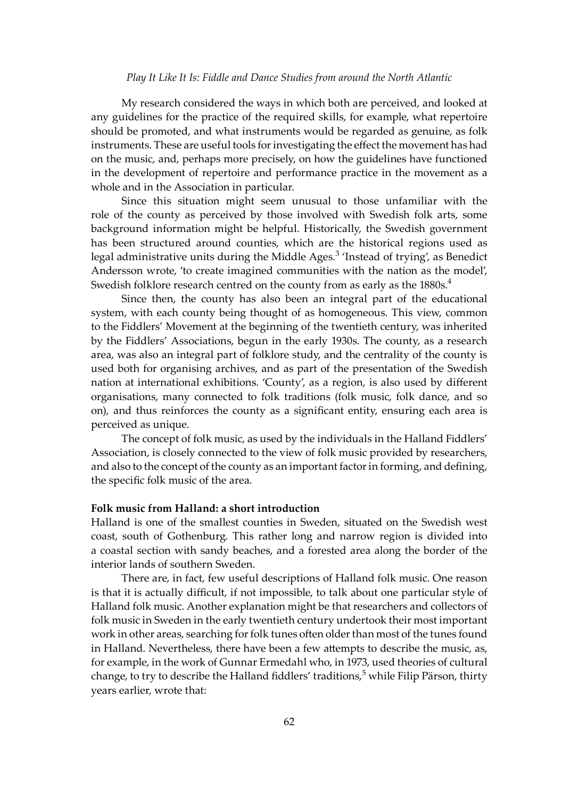#### *Play It Like It Is: Fiddle and Dance Studies from around the North Atlantic*

My research considered the ways in which both are perceived, and looked at any guidelines for the practice of the required skills, for example, what repertoire should be promoted, and what instruments would be regarded as genuine, as folk instruments. These are useful tools for investigating the effect the movement has had on the music, and, perhaps more precisely, on how the guidelines have functioned in the development of repertoire and performance practice in the movement as a whole and in the Association in particular.

Since this situation might seem unusual to those unfamiliar with the role of the county as perceived by those involved with Swedish folk arts, some background information might be helpful. Historically, the Swedish government has been structured around counties, which are the historical regions used as legal administrative units during the Middle Ages.<sup>3</sup> 'Instead of trying', as Benedict Andersson wrote, 'to create imagined communities with the nation as the model', Swedish folklore research centred on the county from as early as the  $1880s<sup>4</sup>$ 

Since then, the county has also been an integral part of the educational system, with each county being thought of as homogeneous. This view, common to the Fiddlers' Movement at the beginning of the twentieth century, was inherited by the Fiddlers' Associations, begun in the early 1930s. The county, as a research area, was also an integral part of folklore study, and the centrality of the county is used both for organising archives, and as part of the presentation of the Swedish nation at international exhibitions. 'County', as a region, is also used by different organisations, many connected to folk traditions (folk music, folk dance, and so on), and thus reinforces the county as a significant entity, ensuring each area is perceived as unique.

The concept of folk music, as used by the individuals in the Halland Fiddlers' Association, is closely connected to the view of folk music provided by researchers, and also to the concept of the county as an important factor in forming, and defining, the specific folk music of the area.

## **Folk music from Halland: a short introduction**

Halland is one of the smallest counties in Sweden, situated on the Swedish west coast, south of Gothenburg. This rather long and narrow region is divided into a coastal section with sandy beaches, and a forested area along the border of the interior lands of southern Sweden.

There are, in fact, few useful descriptions of Halland folk music. One reason is that it is actually difficult, if not impossible, to talk about one particular style of Halland folk music. Another explanation might be that researchers and collectors of folk music in Sweden in the early twentieth century undertook their most important work in other areas, searching for folk tunes o�en older than most of the tunes found in Halland. Nevertheless, there have been a few attempts to describe the music, as, for example, in the work of Gunnar Ermedahl who, in 1973, used theories of cultural change, to try to describe the Halland fiddlers' traditions,<sup>5</sup> while Filip Pärson, thirty years earlier, wrote that: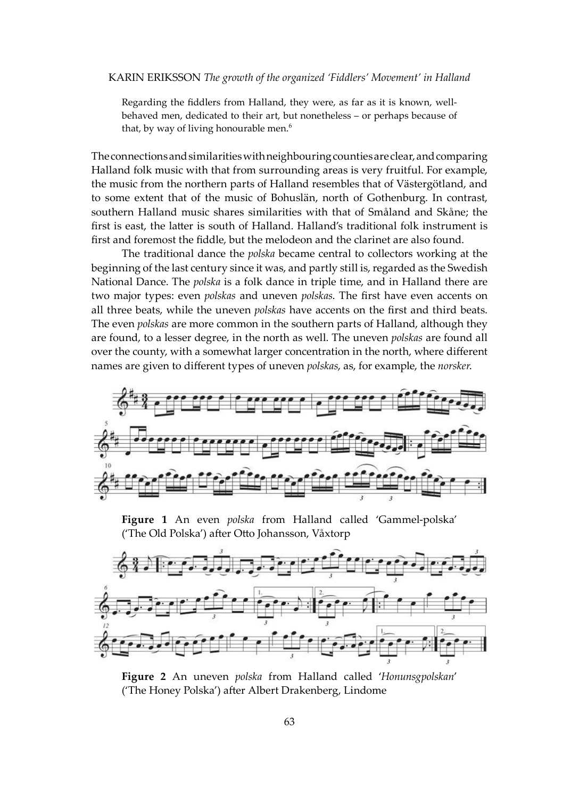#### KARIN ERIKSSON *The growth of the organized 'Fiddlers' Movement' in Halland*

Regarding the fiddlers from Halland, they were, as far as it is known, wellbehaved men, dedicated to their art, but nonetheless – or perhaps because of that, by way of living honourable men.<sup>6</sup>

The connections and similarities with neighbouring counties are clear, and comparing Halland folk music with that from surrounding areas is very fruitful. For example, the music from the northern parts of Halland resembles that of Västergötland, and to some extent that of the music of Bohuslän, north of Gothenburg. In contrast, southern Halland music shares similarities with that of Småland and Skåne; the first is east, the latter is south of Halland. Halland's traditional folk instrument is first and foremost the fiddle, but the melodeon and the clarinet are also found.

The traditional dance the *polska* became central to collectors working at the beginning of the last century since it was, and partly still is, regarded as the Swedish National Dance. The *polska* is a folk dance in triple time, and in Halland there are two major types: even *polskas* and uneven *polskas*. The first have even accents on all three beats, while the uneven *polskas* have accents on the first and third beats. The even *polskas* are more common in the southern parts of Halland, although they are found, to a lesser degree, in the north as well. The uneven *polskas* are found all over the county, with a somewhat larger concentration in the north, where different names are given to different types of uneven *polskas*, as, for example, the *norsker*.



**Figure 1** An even *polska* from Halland called 'Gammel-polska' ('The Old Polska') after Otto Johansson, Våxtorp



**Figure 2** An uneven *polska* from Halland called '*Honunsgpolskan*' ('The Honey Polska') after Albert Drakenberg, Lindome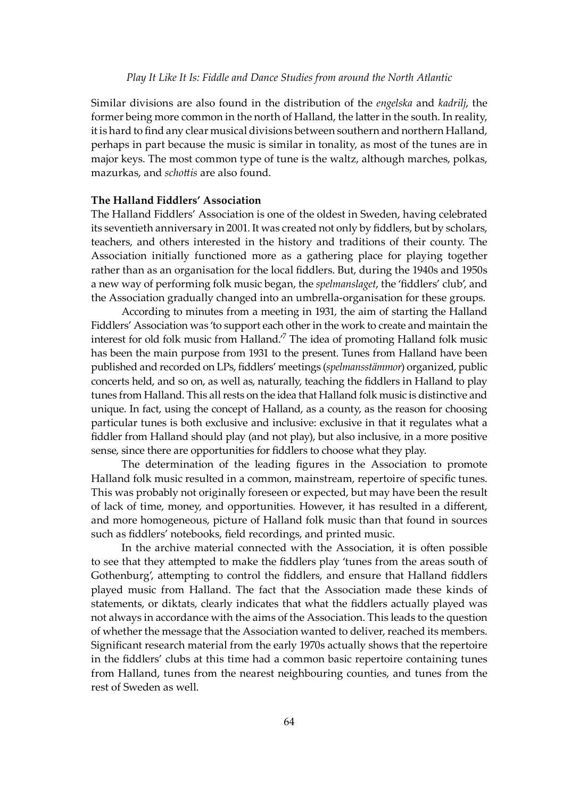Similar divisions are also found in the distribution of the *engelska* and *kadrilj*, the former being more common in the north of Halland, the latter in the south. In reality, it is hard to find any clear musical divisions between southern and northern Halland, perhaps in part because the music is similar in tonality, as most of the tunes are in major keys. The most common type of tune is the waltz, although marches, polkas, mazurkas, and *scho�is* are also found.

#### **The Halland Fiddlers' Association**

The Halland Fiddlers' Association is one of the oldest in Sweden, having celebrated its seventieth anniversary in 2001. It was created not only by fiddlers, but by scholars, teachers, and others interested in the history and traditions of their county. The Association initially functioned more as a gathering place for playing together rather than as an organisation for the local fiddlers. But, during the 1940s and 1950s a new way of performing folk music began, the *spelmanslaget*, the 'fiddlers' club', and the Association gradually changed into an umbrella-organisation for these groups.

According to minutes from a meeting in 1931, the aim of starting the Halland Fiddlers' Association was 'to support each other in the work to create and maintain the interest for old folk music from Halland.<sup>7</sup> The idea of promoting Halland folk music has been the main purpose from 1931 to the present. Tunes from Halland have been published and recorded on LPs, fiddlers' meetings (*spelmansstämmor*) organized, public concerts held, and so on, as well as, naturally, teaching the fiddlers in Halland to play tunes from Halland. This all rests on the idea that Halland folk music is distinctive and unique. In fact, using the concept of Halland, as a county, as the reason for choosing particular tunes is both exclusive and inclusive: exclusive in that it regulates what a fiddler from Halland should play (and not play), but also inclusive, in a more positive sense, since there are opportunities for fiddlers to choose what they play.

The determination of the leading figures in the Association to promote Halland folk music resulted in a common, mainstream, repertoire of specific tunes. This was probably not originally foreseen or expected, but may have been the result of lack of time, money, and opportunities. However, it has resulted in a different, and more homogeneous, picture of Halland folk music than that found in sources such as fiddlers' notebooks, field recordings, and printed music.

In the archive material connected with the Association, it is often possible to see that they attempted to make the fiddlers play 'tunes from the areas south of Gothenburg', attempting to control the fiddlers, and ensure that Halland fiddlers played music from Halland. The fact that the Association made these kinds of statements, or diktats, clearly indicates that what the fiddlers actually played was not always in accordance with the aims of the Association. This leads to the question of whether the message that the Association wanted to deliver, reached its members. Significant research material from the early 1970s actually shows that the repertoire in the fiddlers' clubs at this time had a common basic repertoire containing tunes from Halland, tunes from the nearest neighbouring counties, and tunes from the rest of Sweden as well.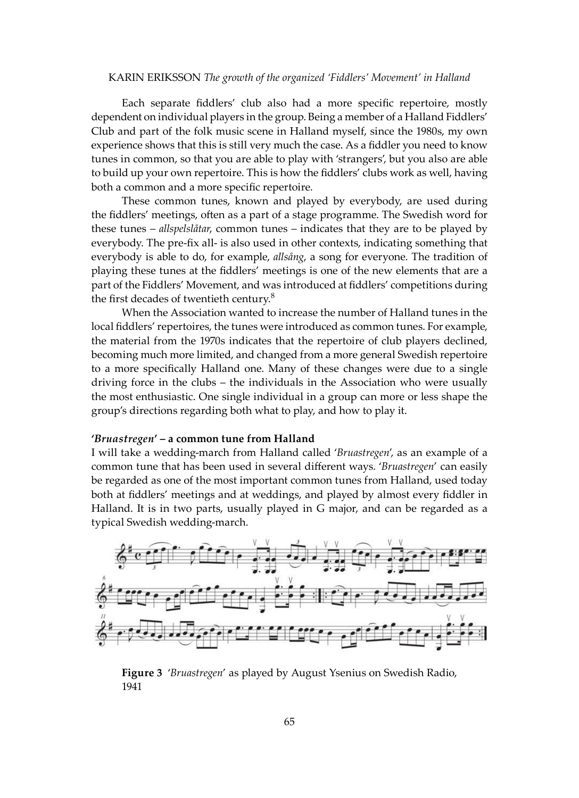#### KARIN ERIKSSON *The growth of the organized 'Fiddlers' Movement' in Halland*

Each separate fiddlers' club also had a more specific repertoire, mostly dependent on individual players in the group. Being a member of a Halland Fiddlers' Club and part of the folk music scene in Halland myself, since the 1980s, my own experience shows that this is still very much the case. As a fiddler you need to know tunes in common, so that you are able to play with 'strangers', but you also are able to build up your own repertoire. This is how the fiddlers' clubs work as well, having both a common and a more specific repertoire.

These common tunes, known and played by everybody, are used during the fiddlers' meetings, o�en as a part of a stage programme. The Swedish word for these tunes – *allspelslåtar*, common tunes – indicates that they are to be played by everybody. The pre-fix all- is also used in other contexts, indicating something that everybody is able to do, for example, *allsång*, a song for everyone. The tradition of playing these tunes at the fiddlers' meetings is one of the new elements that are a part of the Fiddlers' Movement, and was introduced at fiddlers' competitions during the first decades of twentieth century. $8$ 

When the Association wanted to increase the number of Halland tunes in the local fiddlers' repertoires, the tunes were introduced as common tunes. For example, the material from the 1970s indicates that the repertoire of club players declined, becoming much more limited, and changed from a more general Swedish repertoire to a more specifically Halland one. Many of these changes were due to a single driving force in the clubs – the individuals in the Association who were usually the most enthusiastic. One single individual in a group can more or less shape the group's directions regarding both what to play, and how to play it.

### **'***Bruastregen***' – a common tune from Halland**

I will take a wedding-march from Halland called '*Bruastregen*', as an example of a common tune that has been used in several different ways. '*Bruastregen*' can easily be regarded as one of the most important common tunes from Halland, used today both at fiddlers' meetings and at weddings, and played by almost every fiddler in Halland. It is in two parts, usually played in G major, and can be regarded as a typical Swedish wedding-march.



**Figure 3** '*Bruastregen*' as played by August Ysenius on Swedish Radio, 1941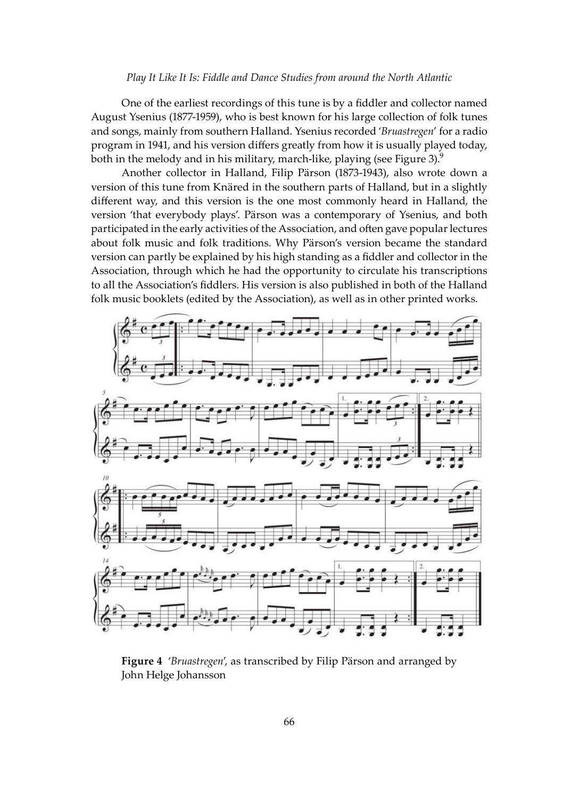#### *Play It Like It Is: Fiddle and Dance Studies from around the North Atlantic*

One of the earliest recordings of this tune is by a fiddler and collector named August Ysenius (1877-1959), who is best known for his large collection of folk tunes and songs, mainly from southern Halland. Ysenius recorded '*Bruastregen*' for a radio program in 1941, and his version differs greatly from how it is usually played today, both in the melody and in his military, march-like, playing (see Figure 3).<sup>9</sup>

 Another collector in Halland, Filip Pärson (1873-1943), also wrote down a version of this tune from Knäred in the southern parts of Halland, but in a slightly different way, and this version is the one most commonly heard in Halland, the version 'that everybody plays'. Pärson was a contemporary of Ysenius, and both participated in the early activities of the Association, and often gave popular lectures about folk music and folk traditions. Why Pärson's version became the standard version can partly be explained by his high standing as a fiddler and collector in the Association, through which he had the opportunity to circulate his transcriptions to all the Association's fiddlers. His version is also published in both of the Halland folk music booklets (edited by the Association), as well as in other printed works.



**Figure 4** '*Bruastregen*', as transcribed by Filip Pärson and arranged by John Helge Johansson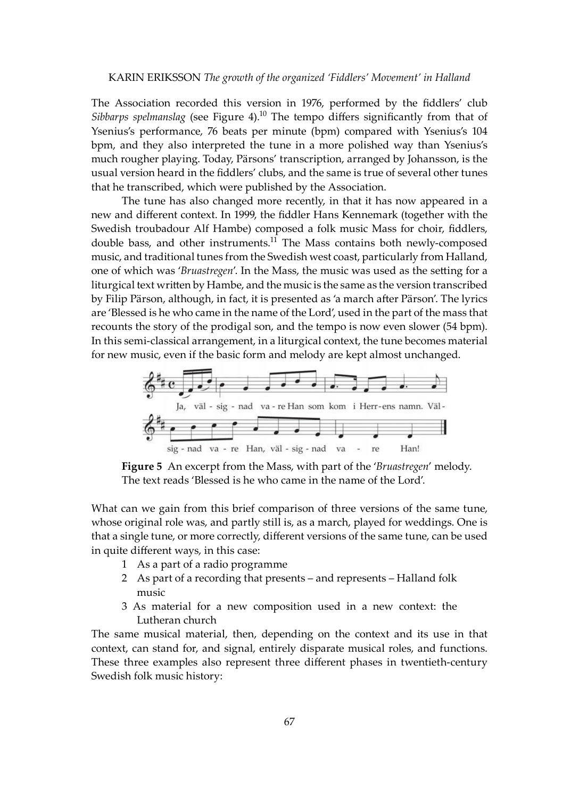The Association recorded this version in 1976, performed by the fiddlers' club *Sibbarps spelmanslag* (see Figure 4).<sup>10</sup> The tempo differs significantly from that of Ysenius's performance, 76 beats per minute (bpm) compared with Ysenius's 104 bpm, and they also interpreted the tune in a more polished way than Ysenius's much rougher playing. Today, Pärsons' transcription, arranged by Johansson, is the usual version heard in the fiddlers' clubs, and the same is true of several other tunes that he transcribed, which were published by the Association.

The tune has also changed more recently, in that it has now appeared in a new and different context. In 1999, the fiddler Hans Kennemark (together with the Swedish troubadour Alf Hambe) composed a folk music Mass for choir, fiddlers, double bass, and other instruments. $11$  The Mass contains both newly-composed music, and traditional tunes from the Swedish west coast, particularly from Halland, one of which was '*Bruastregen'*. In the Mass, the music was used as the setting for a liturgical text written by Hambe, and the music is the same as the version transcribed by Filip Pärson, although, in fact, it is presented as 'a march a�er Pärson'. The lyrics are 'Blessed is he who came in the name of the Lord', used in the part of the mass that recounts the story of the prodigal son, and the tempo is now even slower (54 bpm). In this semi-classical arrangement, in a liturgical context, the tune becomes material for new music, even if the basic form and melody are kept almost unchanged.



**Figure 5** An excerpt from the Mass, with part of the '*Bruastregen*' melody. The text reads 'Blessed is he who came in the name of the Lord'.

What can we gain from this brief comparison of three versions of the same tune, whose original role was, and partly still is, as a march, played for weddings. One is that a single tune, or more correctly, different versions of the same tune, can be used in quite different ways, in this case:

- 1 As a part of a radio programme
- 2 As part of a recording that presents and represents Halland folk music
- 3 As material for a new composition used in a new context: the Lutheran church

The same musical material, then, depending on the context and its use in that context, can stand for, and signal, entirely disparate musical roles, and functions. These three examples also represent three different phases in twentieth-century Swedish folk music history: